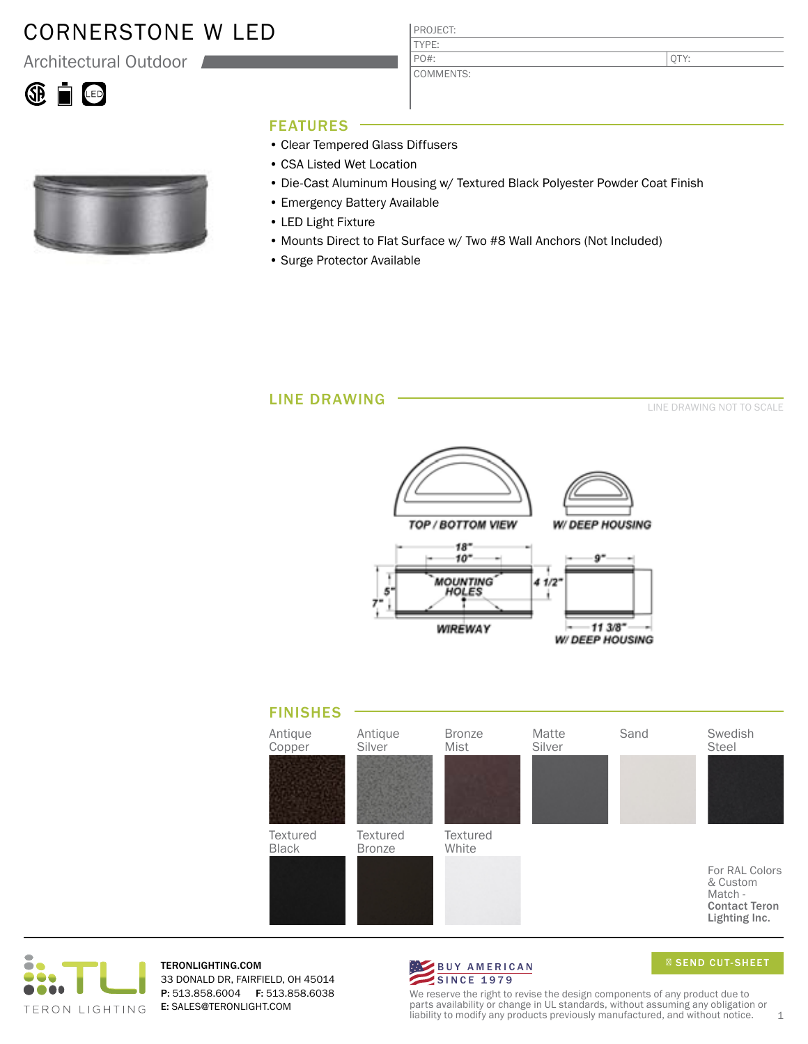# CORNERSTONE W LED

Architectural Outdoor





## FEATURES

- Clear Tempered Glass Diffusers
- CSA Listed Wet Location
- Die-Cast Aluminum Housing w/ Textured Black Polyester Powder Coat Finish
- Emergency Battery Available
- LED Light Fixture
- Mounts Direct to Flat Surface w/ Two #8 Wall Anchors (Not Included)

PROJECT: TYPE:

PO#:

COMMENTS:

• Surge Protector Available

### LINE DRAWING

LINE DRAWING NOT TO SCALE







TERONLIGHTING.COM 33 DONALD DR, FAIRFIELD, OH 45014 P: 513.858.6004 F: 513.858.6038 E: SALES@TERONLIGHT.COM



SEND CUT-SHEET

We reserve the right to revise the design components of any product due to parts availability or change in UL standards, without assuming any obligation or liability to modify any products previously manufactured, and without notice.  $1$ 

QTY: